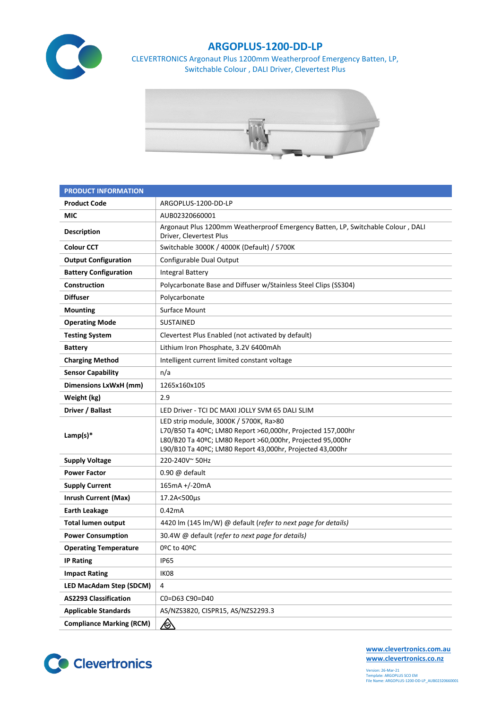

## **ARGOPLUS-1200-DD-LP**

CLEVERTRONICS Argonaut Plus 1200mm Weatherproof Emergency Batten, LP, Switchable Colour , DALI Driver, Clevertest Plus



| <b>PRODUCT INFORMATION</b>      |                                                                                                                                                                                                                                  |  |  |  |  |
|---------------------------------|----------------------------------------------------------------------------------------------------------------------------------------------------------------------------------------------------------------------------------|--|--|--|--|
| <b>Product Code</b>             | ARGOPLUS-1200-DD-LP                                                                                                                                                                                                              |  |  |  |  |
| MIC                             | AUB02320660001                                                                                                                                                                                                                   |  |  |  |  |
| <b>Description</b>              | Argonaut Plus 1200mm Weatherproof Emergency Batten, LP, Switchable Colour, DALI<br>Driver, Clevertest Plus                                                                                                                       |  |  |  |  |
| <b>Colour CCT</b>               | Switchable 3000K / 4000K (Default) / 5700K                                                                                                                                                                                       |  |  |  |  |
| <b>Output Configuration</b>     | Configurable Dual Output                                                                                                                                                                                                         |  |  |  |  |
| <b>Battery Configuration</b>    | <b>Integral Battery</b>                                                                                                                                                                                                          |  |  |  |  |
| Construction                    | Polycarbonate Base and Diffuser w/Stainless Steel Clips (SS304)                                                                                                                                                                  |  |  |  |  |
| <b>Diffuser</b>                 | Polycarbonate                                                                                                                                                                                                                    |  |  |  |  |
| <b>Mounting</b>                 | Surface Mount                                                                                                                                                                                                                    |  |  |  |  |
| <b>Operating Mode</b>           | <b>SUSTAINED</b>                                                                                                                                                                                                                 |  |  |  |  |
| <b>Testing System</b>           | Clevertest Plus Enabled (not activated by default)                                                                                                                                                                               |  |  |  |  |
| <b>Battery</b>                  | Lithium Iron Phosphate, 3.2V 6400mAh                                                                                                                                                                                             |  |  |  |  |
| <b>Charging Method</b>          | Intelligent current limited constant voltage                                                                                                                                                                                     |  |  |  |  |
| <b>Sensor Capability</b>        | n/a                                                                                                                                                                                                                              |  |  |  |  |
| Dimensions LxWxH (mm)           | 1265x160x105                                                                                                                                                                                                                     |  |  |  |  |
| Weight (kg)                     | 2.9                                                                                                                                                                                                                              |  |  |  |  |
| Driver / Ballast                | LED Driver - TCI DC MAXI JOLLY SVM 65 DALI SLIM                                                                                                                                                                                  |  |  |  |  |
| Lamp(s) $*$                     | LED strip module, 3000K / 5700K, Ra>80<br>L70/B50 Ta 40ºC; LM80 Report >60,000hr, Projected 157,000hr<br>L80/B20 Ta 40ºC; LM80 Report >60,000hr, Projected 95,000hr<br>L90/B10 Ta 40°C; LM80 Report 43,000hr, Projected 43,000hr |  |  |  |  |
| <b>Supply Voltage</b>           | 220-240V~50Hz                                                                                                                                                                                                                    |  |  |  |  |
| <b>Power Factor</b>             | $0.90 \omega$ default                                                                                                                                                                                                            |  |  |  |  |
| <b>Supply Current</b>           | 165mA +/-20mA                                                                                                                                                                                                                    |  |  |  |  |
| <b>Inrush Current (Max)</b>     | 17.2A<500µs                                                                                                                                                                                                                      |  |  |  |  |
| <b>Earth Leakage</b>            | 0.42mA                                                                                                                                                                                                                           |  |  |  |  |
| <b>Total lumen output</b>       | 4420 lm (145 lm/W) @ default (refer to next page for details)                                                                                                                                                                    |  |  |  |  |
| <b>Power Consumption</b>        | 30.4W @ default (refer to next page for details)                                                                                                                                                                                 |  |  |  |  |
| <b>Operating Temperature</b>    | 0ºC to 40ºC                                                                                                                                                                                                                      |  |  |  |  |
| <b>IP Rating</b>                | <b>IP65</b>                                                                                                                                                                                                                      |  |  |  |  |
| <b>Impact Rating</b>            | IK08                                                                                                                                                                                                                             |  |  |  |  |
| LED MacAdam Step (SDCM)         | 4                                                                                                                                                                                                                                |  |  |  |  |
| <b>AS2293 Classification</b>    | C0=D63 C90=D40                                                                                                                                                                                                                   |  |  |  |  |
| <b>Applicable Standards</b>     | AS/NZS3820, CISPR15, AS/NZS2293.3                                                                                                                                                                                                |  |  |  |  |
| <b>Compliance Marking (RCM)</b> | <u>/ो</u>                                                                                                                                                                                                                        |  |  |  |  |



**[www.clevertronics.com.au](http://www.clevertronics.com.au/) www.clevertronics.co.nz**

Version: 26-Mar-21 Template: ARGOPLUS SCO EM File Name: ARGOPLUS-1200-DD-LP\_AUB02320660001